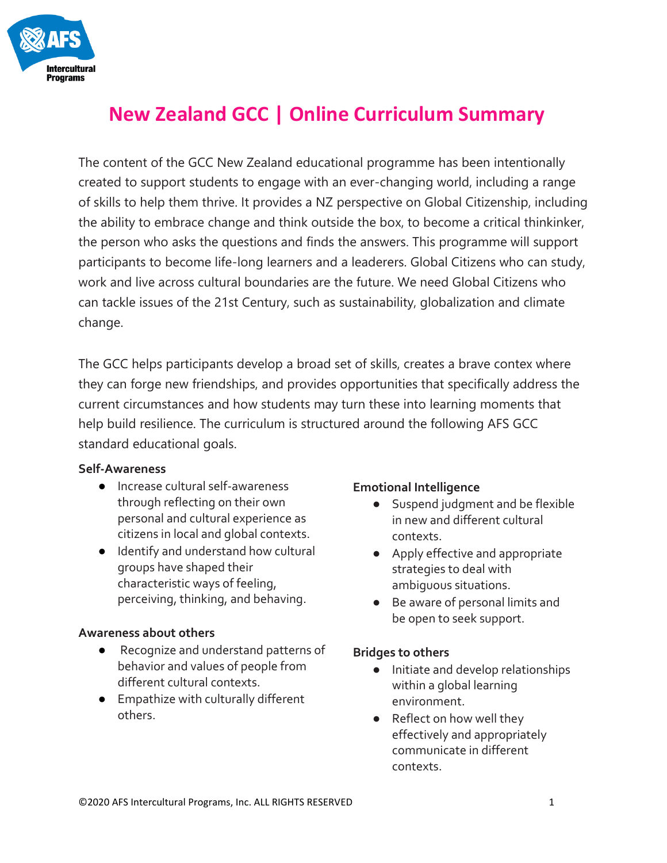

# **New Zealand GCC | Online Curriculum Summary**

The content of the GCC New Zealand educational programme has been intentionally created to support students to engage with an ever-changing world, including a range of skills to help them thrive. It provides a NZ perspective on Global Citizenship, including the ability to embrace change and think outside the box, to become a critical thinkinker, the person who asks the questions and finds the answers. This programme will support participants to become life-long learners and a leaderers. Global Citizens who can study, work and live across cultural boundaries are the future. We need Global Citizens who can tackle issues of the 21st Century, such as sustainability, globalization and climate change.

The GCC helps participants develop a broad set of skills, creates a brave contex where they can forge new friendships, and provides opportunities that specifically address the current circumstances and how students may turn these into learning moments that help build resilience. The curriculum is structured around the following AFS GCC standard educational goals.

#### **Self-Awareness**

- Increase cultural self-awareness through reflecting on their own personal and cultural experience as citizens in local and global contexts.
- Identify and understand how cultural groups have shaped their characteristic ways of feeling, perceiving, thinking, and behaving.

#### **Awareness about others**

- Recognize and understand patterns of behavior and values of people from different cultural contexts.
- Empathize with culturally different others.

#### **Emotional Intelligence**

- Suspend judgment and be flexible in new and different cultural contexts.
- Apply effective and appropriate strategies to deal with ambiguous situations.
- Be aware of personal limits and be open to seek support.

#### **Bridges to others**

- Initiate and develop relationships within a global learning environment.
- Reflect on how well they effectively and appropriately communicate in different contexts.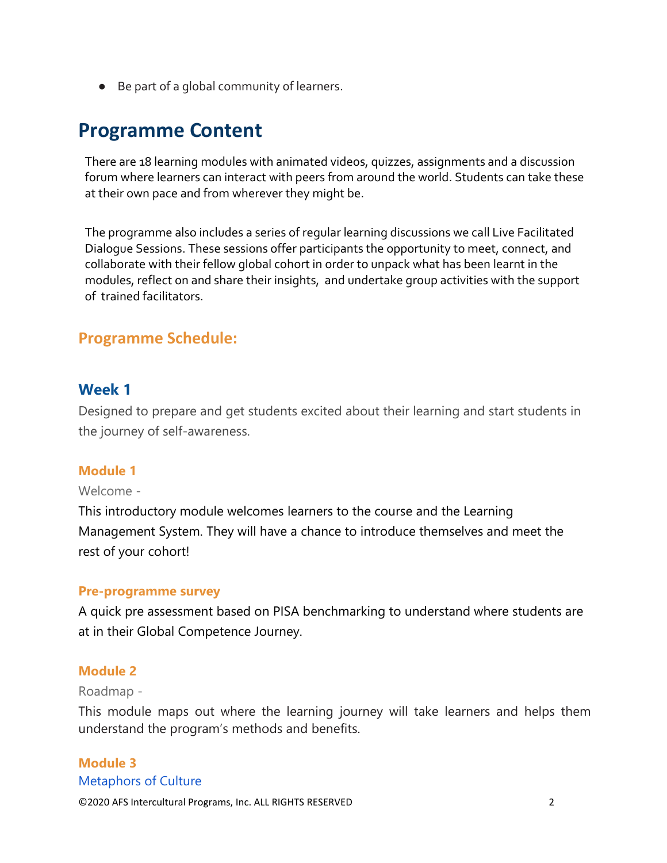● Be part of a global community of learners.

# **Programme Content**

There are 18 learning modules with animated videos, quizzes, assignments and a discussion forum where learners can interact with peers from around the world. Students can take these at their own pace and from wherever they might be.

The programme also includes a series of regular learning discussions we call Live Facilitated Dialogue Sessions. These sessions offer participants the opportunity to meet, connect, and collaborate with their fellow global cohort in order to unpack what has been learnt in the modules, reflect on and share their insights, and undertake group activities with the support of trained facilitators.

# **Programme Schedule:**

## **Week 1**

Designed to prepare and get students excited about their learning and start students in the journey of self-awareness.

#### **Module 1**

#### Welcome -

This introductory module welcomes learners to the course and the Learning Management System. They will have a chance to introduce themselves and meet the rest of your cohort!

#### **Pre-programme survey**

A quick pre assessment based on PISA benchmarking to understand where students are at in their Global Competence Journey.

#### **Module 2**

#### Roadmap -

This module maps out where the learning journey will take learners and helps them understand the program's methods and benefits.

#### **Module 3** Metaphors of Culture

©2020 AFS Intercultural Programs, Inc. ALL RIGHTS RESERVED 2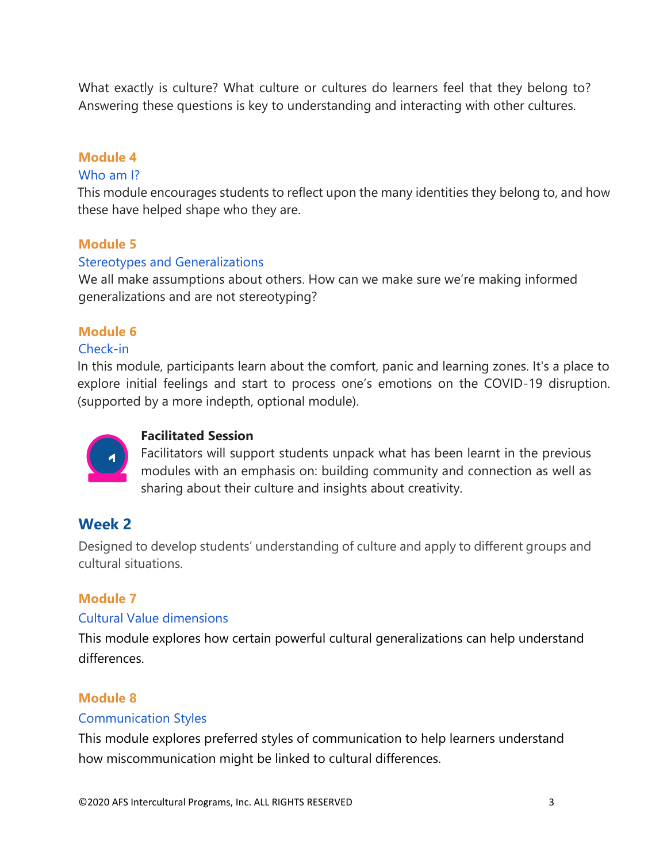What exactly is culture? What culture or cultures do learners feel that they belong to? Answering these questions is key to understanding and interacting with other cultures.

## **Module 4**

#### Who am I?

This module encourages students to reflect upon the many identities they belong to, and how these have helped shape who they are.

#### **Module 5**

#### Stereotypes and Generalizations

We all make assumptions about others. How can we make sure we're making informed generalizations and are not stereotyping?

#### **Module 6**

#### Check-in

In this module, participants learn about the comfort, panic and learning zones. It's a place to explore initial feelings and start to process one's emotions on the COVID-19 disruption. (supported by a more indepth, optional module).



#### **Facilitated Session**

Facilitators will support students unpack what has been learnt in the previous modules with an emphasis on: building community and connection as well as sharing about their culture and insights about creativity.

# **Week 2**

Designed to develop students' understanding of culture and apply to different groups and cultural situations.

#### **Module 7**

#### Cultural Value dimensions

This module explores how certain powerful cultural generalizations can help understand differences.

#### **Module 8**

#### Communication Styles

This module explores preferred styles of communication to help learners understand how miscommunication might be linked to cultural differences.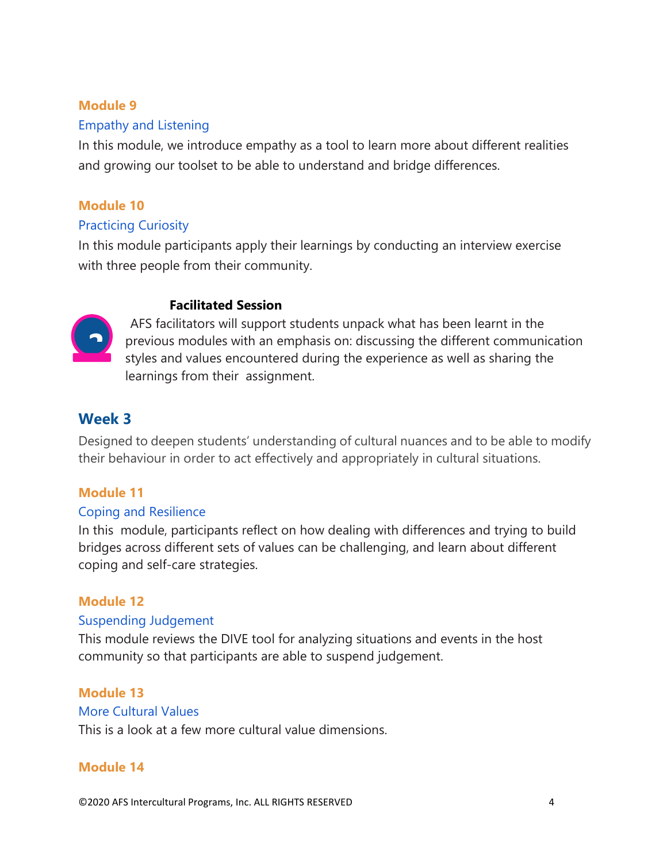#### **Module 9**

#### Empathy and Listening

In this module, we introduce empathy as a tool to learn more about different realities and growing our toolset to be able to understand and bridge differences.

# **Module 10**

#### Practicing Curiosity

In this module participants apply their learnings by conducting an interview exercise with three people from their community.

#### **Facilitated Session**



AFS facilitators will support students unpack what has been learnt in the previous modules with an emphasis on: discussing the different communication styles and values encountered during the experience as well as sharing the learnings from their assignment.

# **Week 3**

Designed to deepen students' understanding of cultural nuances and to be able to modify their behaviour in order to act effectively and appropriately in cultural situations.

#### **Module 11**

#### Coping and Resilience

In this module, participants reflect on how dealing with differences and trying to build bridges across different sets of values can be challenging, and learn about different coping and self-care strategies.

#### **Module 12**

#### Suspending Judgement

This module reviews the DIVE tool for analyzing situations and events in the host community so that participants are able to suspend judgement.

# **Module 13**

#### More Cultural Values

This is a look at a few more cultural value dimensions.

#### **Module 14**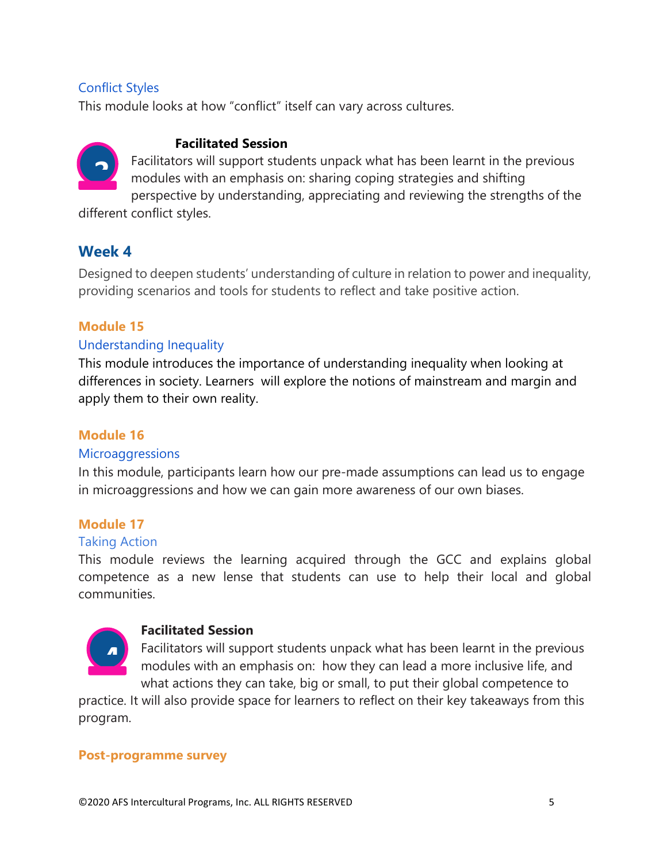#### Conflict Styles

This module looks at how "conflict" itself can vary across cultures.

# **3**

#### **Facilitated Session**

Facilitators will support students unpack what has been learnt in the previous modules with an emphasis on: sharing coping strategies and shifting perspective by understanding, appreciating and reviewing the strengths of the

different conflict styles.

# **Week 4**

Designed to deepen students' understanding of culture in relation to power and inequality, providing scenarios and tools for students to reflect and take positive action.

# **Module 15**

# Understanding Inequality

This module introduces the importance of understanding inequality when looking at differences in society. Learners will explore the notions of mainstream and margin and apply them to their own reality.

#### **Module 16**

#### **Microaggressions**

In this module, participants learn how our pre-made assumptions can lead us to engage in microaggressions and how we can gain more awareness of our own biases.

# **Module 17**

#### Taking Action

This module reviews the learning acquired through the GCC and explains global competence as a new lense that students can use to help their local and global communities.



#### **Facilitated Session**

Facilitators will support students unpack what has been learnt in the previous modules with an emphasis on: how they can lead a more inclusive life, and what actions they can take, big or small, to put their global competence to

practice. It will also provide space for learners to reflect on their key takeaways from this program.

#### **Post-programme survey**